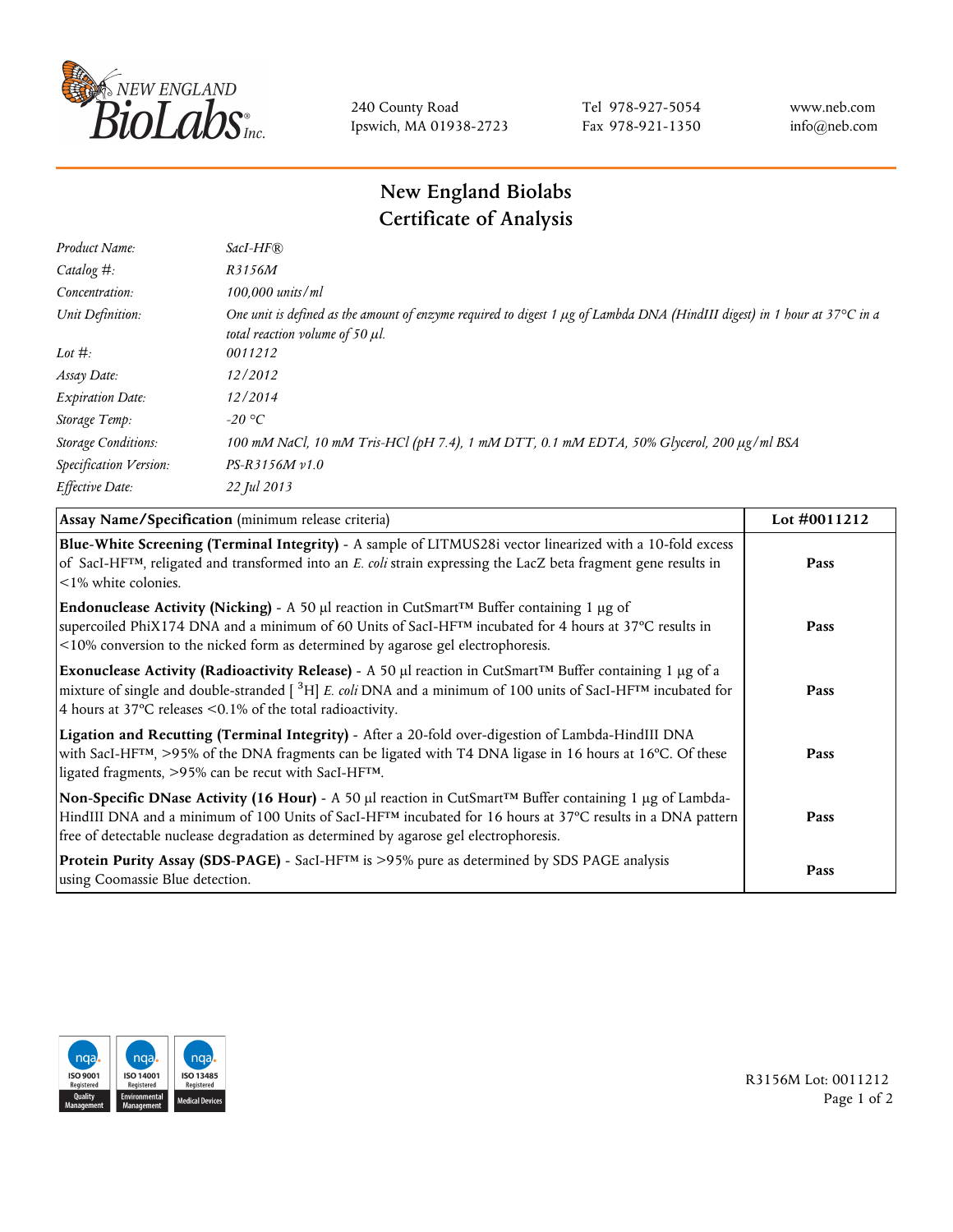

240 County Road Ipswich, MA 01938-2723 Tel 978-927-5054 Fax 978-921-1350 www.neb.com info@neb.com

## **New England Biolabs Certificate of Analysis**

| Product Name:              | $SacI-HF$ $R$                                                                                                                                                          |
|----------------------------|------------------------------------------------------------------------------------------------------------------------------------------------------------------------|
| Catalog #:                 | R3156M                                                                                                                                                                 |
| Concentration:             | $100,000$ units/ml                                                                                                                                                     |
| Unit Definition:           | One unit is defined as the amount of enzyme required to digest 1 $\mu$ g of Lambda DNA (HindIII digest) in 1 hour at 37°C in a<br>total reaction volume of 50 $\mu$ l. |
| Lot $\#$ :                 | 0011212                                                                                                                                                                |
| Assay Date:                | 12/2012                                                                                                                                                                |
| <b>Expiration Date:</b>    | 12/2014                                                                                                                                                                |
| Storage Temp:              | -20 °C                                                                                                                                                                 |
| <b>Storage Conditions:</b> | 100 mM NaCl, 10 mM Tris-HCl (pH 7.4), 1 mM DTT, 0.1 mM EDTA, 50% Glycerol, 200 μg/ml BSA                                                                               |
| Specification Version:     | $PS-R3156M v1.0$                                                                                                                                                       |
| Effective Date:            | 22 Jul 2013                                                                                                                                                            |

| Assay Name/Specification (minimum release criteria)                                                                                                                                                                                                                                                                                                 | Lot #0011212 |
|-----------------------------------------------------------------------------------------------------------------------------------------------------------------------------------------------------------------------------------------------------------------------------------------------------------------------------------------------------|--------------|
| Blue-White Screening (Terminal Integrity) - A sample of LITMUS28i vector linearized with a 10-fold excess<br>of SacI-HF <sup>TM</sup> , religated and transformed into an E. coli strain expressing the LacZ beta fragment gene results in<br><1% white colonies.                                                                                   | Pass         |
| Endonuclease Activity (Nicking) - A 50 µl reaction in CutSmart <sup>TM</sup> Buffer containing 1 µg of<br>supercoiled PhiX174 DNA and a minimum of 60 Units of SacI-HFTM incubated for 4 hours at 37°C results in<br><10% conversion to the nicked form as determined by agarose gel electrophoresis.                                               | Pass         |
| Exonuclease Activity (Radioactivity Release) - A 50 $\mu$ l reaction in CutSmart <sup>TM</sup> Buffer containing 1 $\mu$ g of a<br>mixture of single and double-stranded $[$ <sup>3</sup> H] E. coli DNA and a minimum of 100 units of SacI-HF <sup>TM</sup> incubated for<br>4 hours at 37 $\degree$ C releases < 0.1% of the total radioactivity. | Pass         |
| Ligation and Recutting (Terminal Integrity) - After a 20-fold over-digestion of Lambda-HindIII DNA<br>with SacI-HF <sup>TM</sup> , >95% of the DNA fragments can be ligated with T4 DNA ligase in 16 hours at 16°C. Of these<br>ligated fragments, >95% can be recut with SacI-HFTM.                                                                | Pass         |
| Non-Specific DNase Activity (16 Hour) - A 50 µl reaction in CutSmart™ Buffer containing 1 µg of Lambda-<br>HindIII DNA and a minimum of 100 Units of SacI-HF <sup>TM</sup> incubated for 16 hours at 37°C results in a DNA pattern<br>free of detectable nuclease degradation as determined by agarose gel electrophoresis.                         | Pass         |
| Protein Purity Assay (SDS-PAGE) - SacI-HF <sup>TM</sup> is >95% pure as determined by SDS PAGE analysis<br>using Coomassie Blue detection.                                                                                                                                                                                                          | Pass         |



R3156M Lot: 0011212 Page 1 of 2